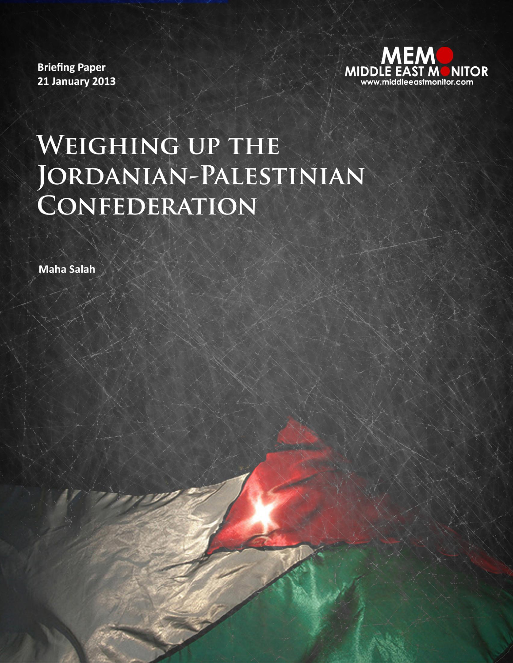**Briefing Paper 21 January 2013** 



# WEIGHING UP THE JORDANIAN-PALESTINIAN CONFEDERATION

**Maha Salah**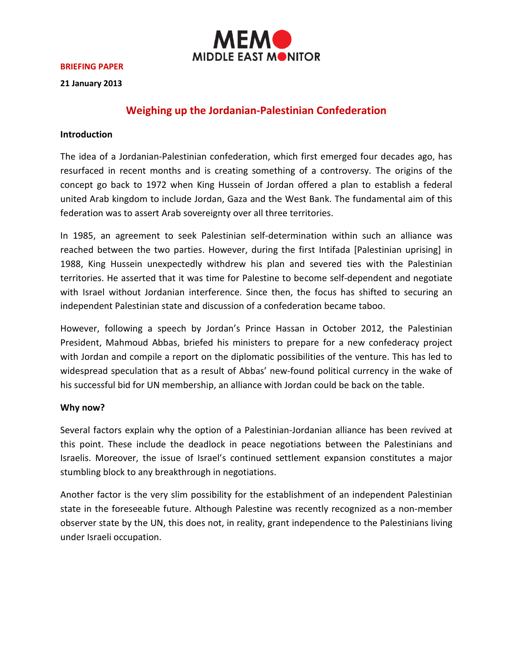

#### **BRIEFING PAPER**

**21 January 2013**

## **Weighing up the Jordanian-Palestinian Confederation**

#### **Introduction**

The idea of a Jordanian-Palestinian confederation, which first emerged four decades ago, has resurfaced in recent months and is creating something of a controversy. The origins of the concept go back to 1972 when King Hussein of Jordan offered a plan to establish a federal united Arab kingdom to include Jordan, Gaza and the West Bank. The fundamental aim of this federation was to assert Arab sovereignty over all three territories.

In 1985, an agreement to seek Palestinian self-determination within such an alliance was reached between the two parties. However, during the first Intifada [Palestinian uprising] in 1988, King Hussein unexpectedly withdrew his plan and severed ties with the Palestinian territories. He asserted that it was time for Palestine to become self-dependent and negotiate with Israel without Jordanian interference. Since then, the focus has shifted to securing an independent Palestinian state and discussion of a confederation became taboo.

However, following a speech by Jordan's Prince Hassan in October 2012, the Palestinian President, Mahmoud Abbas, briefed his ministers to prepare for a new confederacy project with Jordan and compile a report on the diplomatic possibilities of the venture. This has led to widespread speculation that as a result of Abbas' new-found political currency in the wake of his successful bid for UN membership, an alliance with Jordan could be back on the table.

### **Why now?**

Several factors explain why the option of a Palestinian-Jordanian alliance has been revived at this point. These include the deadlock in peace negotiations between the Palestinians and Israelis. Moreover, the issue of Israel's continued settlement expansion constitutes a major stumbling block to any breakthrough in negotiations.

Another factor is the very slim possibility for the establishment of an independent Palestinian state in the foreseeable future. Although Palestine was recently recognized as a non-member observer state by the UN, this does not, in reality, grant independence to the Palestinians living under Israeli occupation.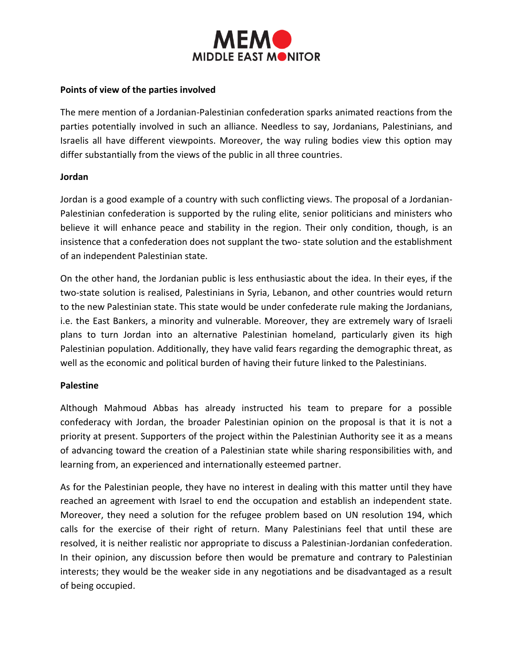

### **Points of view of the parties involved**

The mere mention of a Jordanian-Palestinian confederation sparks animated reactions from the parties potentially involved in such an alliance. Needless to say, Jordanians, Palestinians, and Israelis all have different viewpoints. Moreover, the way ruling bodies view this option may differ substantially from the views of the public in all three countries.

### **Jordan**

Jordan is a good example of a country with such conflicting views. The proposal of a Jordanian-Palestinian confederation is supported by the ruling elite, senior politicians and ministers who believe it will enhance peace and stability in the region. Their only condition, though, is an insistence that a confederation does not supplant the two- state solution and the establishment of an independent Palestinian state.

On the other hand, the Jordanian public is less enthusiastic about the idea. In their eyes, if the two-state solution is realised, Palestinians in Syria, Lebanon, and other countries would return to the new Palestinian state. This state would be under confederate rule making the Jordanians, i.e. the East Bankers, a minority and vulnerable. Moreover, they are extremely wary of Israeli plans to turn Jordan into an alternative Palestinian homeland, particularly given its high Palestinian population. Additionally, they have valid fears regarding the demographic threat, as well as the economic and political burden of having their future linked to the Palestinians.

### **Palestine**

Although Mahmoud Abbas has already instructed his team to prepare for a possible confederacy with Jordan, the broader Palestinian opinion on the proposal is that it is not a priority at present. Supporters of the project within the Palestinian Authority see it as a means of advancing toward the creation of a Palestinian state while sharing responsibilities with, and learning from, an experienced and internationally esteemed partner.

As for the Palestinian people, they have no interest in dealing with this matter until they have reached an agreement with Israel to end the occupation and establish an independent state. Moreover, they need a solution for the refugee problem based on UN resolution 194, which calls for the exercise of their right of return. Many Palestinians feel that until these are resolved, it is neither realistic nor appropriate to discuss a Palestinian-Jordanian confederation. In their opinion, any discussion before then would be premature and contrary to Palestinian interests; they would be the weaker side in any negotiations and be disadvantaged as a result of being occupied.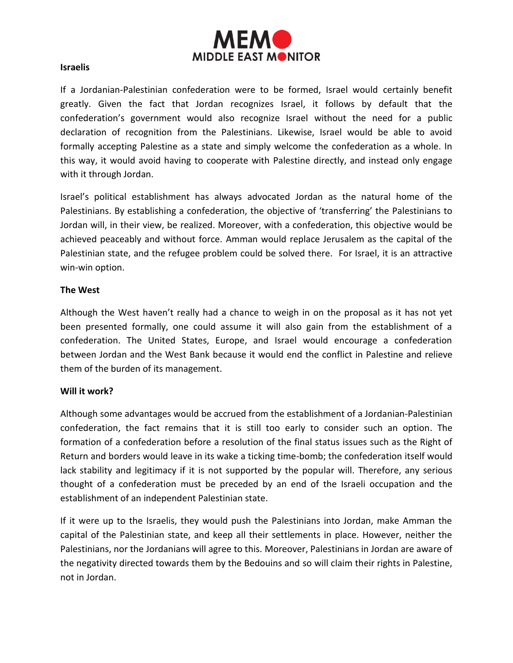

### **Israelis**

If a Jordanian-Palestinian confederation were to be formed, Israel would certainly benefit greatly. Given the fact that Jordan recognizes Israel, it follows by default that the confederation's government would also recognize Israel without the need for a public declaration of recognition from the Palestinians. Likewise, Israel would be able to avoid formally accepting Palestine as a state and simply welcome the confederation as a whole. In this way, it would avoid having to cooperate with Palestine directly, and instead only engage with it through Jordan.

Israel's political establishment has always advocated Jordan as the natural home of the Palestinians. By establishing a confederation, the objective of 'transferring' the Palestinians to Jordan will, in their view, be realized. Moreover, with a confederation, this objective would be achieved peaceably and without force. Amman would replace Jerusalem as the capital of the Palestinian state, and the refugee problem could be solved there. For Israel, it is an attractive win-win option.

### **The West**

Although the West haven't really had a chance to weigh in on the proposal as it has not yet been presented formally, one could assume it will also gain from the establishment of a confederation. The United States, Europe, and Israel would encourage a confederation between Jordan and the West Bank because it would end the conflict in Palestine and relieve them of the burden of its management.

### **Will it work?**

Although some advantages would be accrued from the establishment of a Jordanian-Palestinian confederation, the fact remains that it is still too early to consider such an option. The formation of a confederation before a resolution of the final status issues such as the Right of Return and borders would leave in its wake a ticking time-bomb; the confederation itself would lack stability and legitimacy if it is not supported by the popular will. Therefore, any serious thought of a confederation must be preceded by an end of the Israeli occupation and the establishment of an independent Palestinian state.

If it were up to the Israelis, they would push the Palestinians into Jordan, make Amman the capital of the Palestinian state, and keep all their settlements in place. However, neither the Palestinians, nor the Jordanians will agree to this. Moreover, Palestinians in Jordan are aware of the negativity directed towards them by the Bedouins and so will claim their rights in Palestine, not in Jordan.